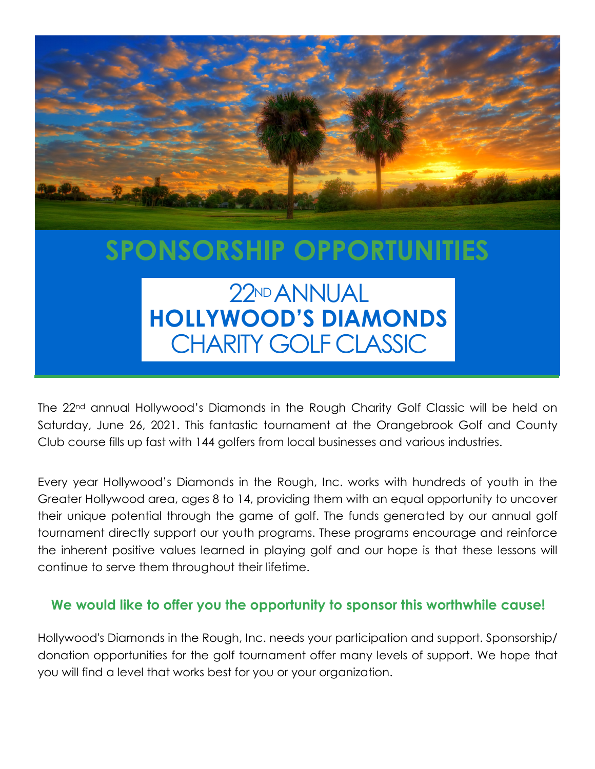

# SPONSORSHIP OPPORTUNITIES

### 22ND ANNUAL HOLLYWOOD'S DIAMONDS CHARITY GOLF CLASSIC

The 22<sup>nd</sup> annual Hollywood's Diamonds in the Rough Charity Golf Classic will be held on Saturday, June 26, 2021. This fantastic tournament at the Orangebrook Golf and County Club course fills up fast with 144 golfers from local businesses and various industries.

Every year Hollywood's Diamonds in the Rough, Inc. works with hundreds of youth in the Greater Hollywood area, ages 8 to 14, providing them with an equal opportunity to uncover their unique potential through the game of golf. The funds generated by our annual golf tournament directly support our youth programs. These programs encourage and reinforce the inherent positive values learned in playing golf and our hope is that these lessons will continue to serve them throughout their lifetime.

### We would like to offer you the opportunity to sponsor this worthwhile cause!

Hollywood's Diamonds in the Rough, Inc. needs your participation and support. Sponsorship/ donation opportunities for the golf tournament offer many levels of support. We hope that you will find a level that works best for you or your organization.